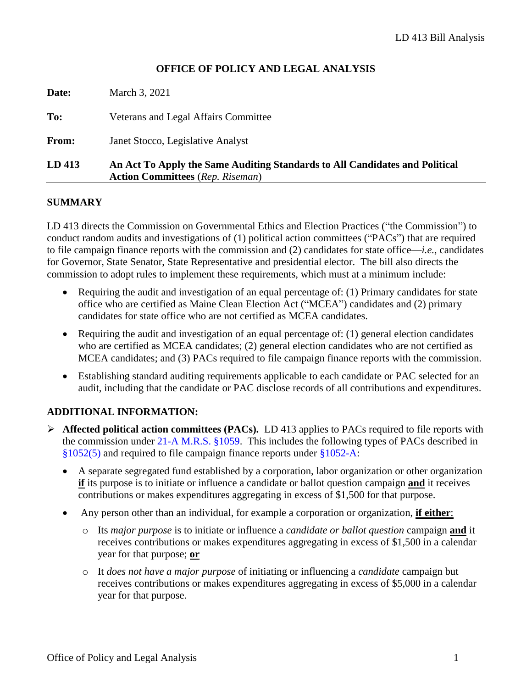## **OFFICE OF POLICY AND LEGAL ANALYSIS**

| LD 413 | An Act To Apply the Same Auditing Standards to All Candidates and Political<br><b>Action Committees</b> (Rep. Riseman) |
|--------|------------------------------------------------------------------------------------------------------------------------|
| From:  | Janet Stocco, Legislative Analyst                                                                                      |
| To:    | Veterans and Legal Affairs Committee                                                                                   |
| Date:  | March 3, 2021                                                                                                          |

### **SUMMARY**

LD 413 directs the Commission on Governmental Ethics and Election Practices ("the Commission") to conduct random audits and investigations of (1) political action committees ("PACs") that are required to file campaign finance reports with the commission and (2) candidates for state office—*i.e.*, candidates for Governor, State Senator, State Representative and presidential elector. The bill also directs the commission to adopt rules to implement these requirements, which must at a minimum include:

- Requiring the audit and investigation of an equal percentage of: (1) Primary candidates for state office who are certified as Maine Clean Election Act ("MCEA") candidates and (2) primary candidates for state office who are not certified as MCEA candidates.
- Requiring the audit and investigation of an equal percentage of: (1) general election candidates who are certified as MCEA candidates; (2) general election candidates who are not certified as MCEA candidates; and (3) PACs required to file campaign finance reports with the commission.
- Establishing standard auditing requirements applicable to each candidate or PAC selected for an audit, including that the candidate or PAC disclose records of all contributions and expenditures.

### **ADDITIONAL INFORMATION:**

- ➢ **Affected political action committees (PACs).** LD 413 applies to PACs required to file reports with the commission under [21-A M.R.S. §1059.](http://legislature.maine.gov/legis/statutes/21-A/title21-Asec1059.html) This includes the following types of PACs described in [§1052\(5\)](http://legislature.maine.gov/legis/statutes/21-A/title21-Asec1052.html) and required to file campaign finance reports under [§1052-A:](http://legislature.maine.gov/legis/statutes/21-A/title21-Asec1052-A.html)
	- A separate segregated fund established by a corporation, labor organization or other organization **if** its purpose is to initiate or influence a candidate or ballot question campaign **and** it receives contributions or makes expenditures aggregating in excess of \$1,500 for that purpose.
	- Any person other than an individual, for example a corporation or organization, **if either**:
		- o Its *major purpose* is to initiate or influence a *candidate or ballot question* campaign **and** it receives contributions or makes expenditures aggregating in excess of \$1,500 in a calendar year for that purpose; **or**
		- o It *does not have a major purpose* of initiating or influencing a *candidate* campaign but receives contributions or makes expenditures aggregating in excess of \$5,000 in a calendar year for that purpose.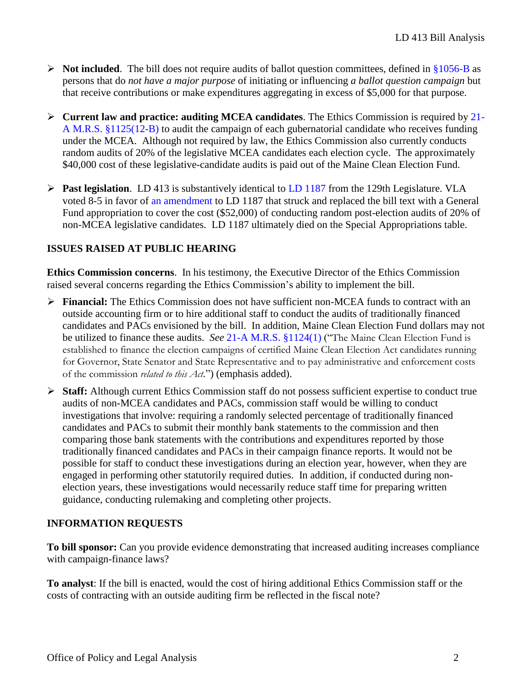- $\triangleright$  **Not included**. The bill does not require audits of ballot question committees, defined in [§1056-B](http://legislature.maine.gov/legis/statutes/21-A/title21-Asec1056-B.html) as persons that do *not have a major purpose* of initiating or influencing *a ballot question campaign* but that receive contributions or make expenditures aggregating in excess of \$5,000 for that purpose.
- ➢ **Current law and practice: auditing MCEA candidates**. The Ethics Commission is required by [21-](http://legislature.maine.gov/legis/statutes/21-A/title21-Asec1125.html) [A M.R.S. §1125\(12-B\)](http://legislature.maine.gov/legis/statutes/21-A/title21-Asec1125.html) to audit the campaign of each gubernatorial candidate who receives funding under the MCEA. Although not required by law, the Ethics Commission also currently conducts random audits of 20% of the legislative MCEA candidates each election cycle. The approximately \$40,000 cost of these legislative-candidate audits is paid out of the Maine Clean Election Fund.
- ➢ **Past legislation**. LD 413 is substantively identical to [LD 1187](http://www.mainelegislature.org/legis/bills/getPDF.asp?paper=HP0861&item=1&snum=129) from the 129th Legislature. VLA voted 8-5 in favor of [an amendment](http://www.mainelegislature.org/legis/bills/getPDF.asp?paper=HP0861&item=2&snum=129) to LD 1187 that struck and replaced the bill text with a General Fund appropriation to cover the cost (\$52,000) of conducting random post-election audits of 20% of non-MCEA legislative candidates. LD 1187 ultimately died on the Special Appropriations table.

# **ISSUES RAISED AT PUBLIC HEARING**

**Ethics Commission concerns**. In his testimony, the Executive Director of the Ethics Commission raised several concerns regarding the Ethics Commission's ability to implement the bill.

- ➢ **Financial:** The Ethics Commission does not have sufficient non-MCEA funds to contract with an outside accounting firm or to hire additional staff to conduct the audits of traditionally financed candidates and PACs envisioned by the bill. In addition, Maine Clean Election Fund dollars may not be utilized to finance these audits. *See* [21-A M.R.S. §1124\(1\)](http://legislature.maine.gov/legis/statutes/21-A/title21-Asec1124.html) ("The Maine Clean Election Fund is established to finance the election campaigns of certified Maine Clean Election Act candidates running for Governor, State Senator and State Representative and to pay administrative and enforcement costs of the commission *related to this Act*.") (emphasis added).
- ➢ **Staff:** Although current Ethics Commission staff do not possess sufficient expertise to conduct true audits of non-MCEA candidates and PACs, commission staff would be willing to conduct investigations that involve: requiring a randomly selected percentage of traditionally financed candidates and PACs to submit their monthly bank statements to the commission and then comparing those bank statements with the contributions and expenditures reported by those traditionally financed candidates and PACs in their campaign finance reports. It would not be possible for staff to conduct these investigations during an election year, however, when they are engaged in performing other statutorily required duties. In addition, if conducted during nonelection years, these investigations would necessarily reduce staff time for preparing written guidance, conducting rulemaking and completing other projects.

## **INFORMATION REQUESTS**

**To bill sponsor:** Can you provide evidence demonstrating that increased auditing increases compliance with campaign-finance laws?

**To analyst**: If the bill is enacted, would the cost of hiring additional Ethics Commission staff or the costs of contracting with an outside auditing firm be reflected in the fiscal note?